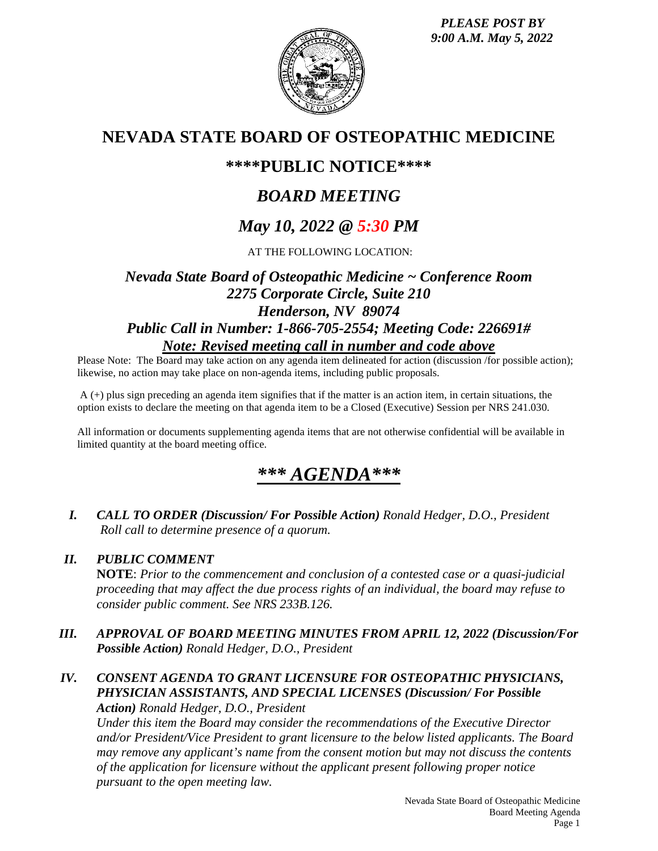*PLEASE POST BY 9:00 A.M. May 5, 2022*



## **NEVADA STATE BOARD OF OSTEOPATHIC MEDICINE**

## **\*\*\*\*PUBLIC NOTICE\*\*\*\***

# *BOARD MEETING*

# *May 10, 2022 @ 5:30 PM*

AT THE FOLLOWING LOCATION:

## *Nevada State Board of Osteopathic Medicine ~ Conference Room 2275 Corporate Circle, Suite 210 Henderson, NV 89074 Public Call in Number: 1-866-705-2554; Meeting Code: 226691# Note: Revised meeting call in number and code above*

Please Note: The Board may take action on any agenda item delineated for action (discussion /for possible action); likewise, no action may take place on non-agenda items, including public proposals.

A (+) plus sign preceding an agenda item signifies that if the matter is an action item, in certain situations, the option exists to declare the meeting on that agenda item to be a Closed (Executive) Session per NRS 241.030.

All information or documents supplementing agenda items that are not otherwise confidential will be available in limited quantity at the board meeting office.

## *\*\*\* AGENDA\*\*\**

*I. CALL TO ORDER (Discussion/ For Possible Action) Ronald Hedger, D.O., President Roll call to determine presence of a quorum.*

### *II. PUBLIC COMMENT*

**NOTE**: *Prior to the commencement and conclusion of a contested case or a quasi-judicial proceeding that may affect the due process rights of an individual, the board may refuse to consider public comment. See NRS 233B.126.*

- *III. APPROVAL OF BOARD MEETING MINUTES FROM APRIL 12, 2022 (Discussion/For Possible Action) Ronald Hedger, D.O., President*
- *IV. CONSENT AGENDA TO GRANT LICENSURE FOR OSTEOPATHIC PHYSICIANS, PHYSICIAN ASSISTANTS, AND SPECIAL LICENSES (Discussion/ For Possible*

*Action) Ronald Hedger, D.O., President*

*Under this item the Board may consider the recommendations of the Executive Director and/or President/Vice President to grant licensure to the below listed applicants. The Board may remove any applicant's name from the consent motion but may not discuss the contents of the application for licensure without the applicant present following proper notice pursuant to the open meeting law.*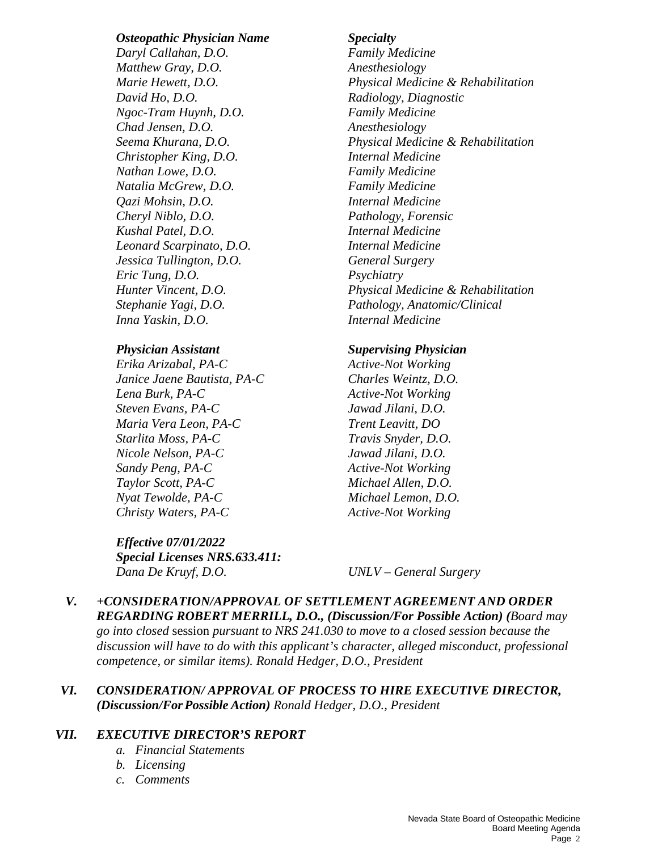### *Osteopathic Physician Name Specialty*

*Daryl Callahan, D.O. Family Medicine Matthew Gray, D.O. Anesthesiology David Ho, D.O. Radiology, Diagnostic Ngoc-Tram Huynh, D.O. Family Medicine Chad Jensen, D.O. Anesthesiology Christopher King, D.O. Internal Medicine Nathan Lowe, D.O. Family Medicine Natalia McGrew, D.O. Family Medicine Qazi Mohsin, D.O. Internal Medicine Cheryl Niblo, D.O. Pathology, Forensic Kushal Patel, D.O. Internal Medicine Leonard Scarpinato, D.O. Internal Medicine Jessica Tullington, D.O. General Surgery Eric Tung, D.O. Psychiatry Inna Yaskin, D.O. Internal Medicine* 

*Erika Arizabal, PA-C Active-Not Working Janice Jaene Bautista, PA-C Charles Weintz, D.O. Lena Burk, PA-C Active-Not Working Steven Evans, PA-C Jawad Jilani, D.O. Maria Vera Leon, PA-C Trent Leavitt, DO Starlita Moss, PA-C Travis Snyder, D.O. Nicole Nelson, PA-C Jawad Jilani, D.O. Sandy Peng, PA-C Active-Not Working Taylor Scott, PA-C Michael Allen, D.O. Nyat Tewolde, PA-C Michael Lemon, D.O. Christy Waters, PA-C Active-Not Working* 

*Effective 07/01/2022 Special Licenses NRS.633.411: Dana De Kruyf, D.O. UNLV – General Surgery* 

*Marie Hewett, D.O. Physical Medicine & Rehabilitation Seema Khurana, D.O. Physical Medicine & Rehabilitation Hunter Vincent, D.O. Physical Medicine & Rehabilitation Stephanie Yagi, D.O. Pathology, Anatomic/Clinical* 

### *Physician Assistant Supervising Physician*

*V. +CONSIDERATION/APPROVAL OF SETTLEMENT AGREEMENT AND ORDER REGARDING ROBERT MERRILL, D.O., (Discussion/For Possible Action) (Board may go into closed* session *pursuant to NRS 241.030 to move to a closed session because the discussion will have to do with this applicant's character, alleged misconduct, professional competence, or similar items). Ronald Hedger, D.O., President* 

### *VI. CONSIDERATION/ APPROVAL OF PROCESS TO HIRE EXECUTIVE DIRECTOR, (Discussion/ForPossible Action) Ronald Hedger, D.O., President*

### *VII. EXECUTIVE DIRECTOR'S REPORT*

- *a. Financial Statements*
- *b. Licensing*
- *c. Comments*